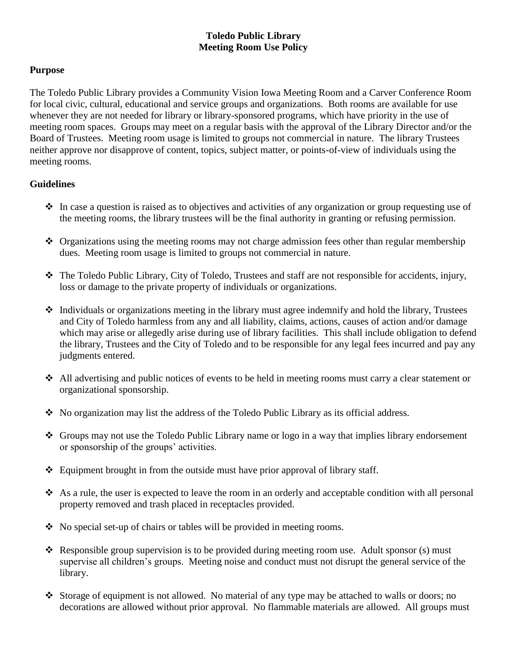## **Toledo Public Library Meeting Room Use Policy**

## **Purpose**

The Toledo Public Library provides a Community Vision Iowa Meeting Room and a Carver Conference Room for local civic, cultural, educational and service groups and organizations. Both rooms are available for use whenever they are not needed for library or library-sponsored programs, which have priority in the use of meeting room spaces. Groups may meet on a regular basis with the approval of the Library Director and/or the Board of Trustees. Meeting room usage is limited to groups not commercial in nature. The library Trustees neither approve nor disapprove of content, topics, subject matter, or points-of-view of individuals using the meeting rooms.

## **Guidelines**

- $\cdot$  In case a question is raised as to objectives and activities of any organization or group requesting use of the meeting rooms, the library trustees will be the final authority in granting or refusing permission.
- Organizations using the meeting rooms may not charge admission fees other than regular membership dues. Meeting room usage is limited to groups not commercial in nature.
- $\triangle$  The Toledo Public Library, City of Toledo, Trustees and staff are not responsible for accidents, injury, loss or damage to the private property of individuals or organizations.
- Individuals or organizations meeting in the library must agree indemnify and hold the library, Trustees and City of Toledo harmless from any and all liability, claims, actions, causes of action and/or damage which may arise or allegedly arise during use of library facilities. This shall include obligation to defend the library, Trustees and the City of Toledo and to be responsible for any legal fees incurred and pay any judgments entered.
- All advertising and public notices of events to be held in meeting rooms must carry a clear statement or organizational sponsorship.
- $\bullet$  No organization may list the address of the Toledo Public Library as its official address.
- $\triangle$  Groups may not use the Toledo Public Library name or logo in a way that implies library endorsement or sponsorship of the groups' activities.
- Equipment brought in from the outside must have prior approval of library staff.
- $\triangle$  As a rule, the user is expected to leave the room in an orderly and acceptable condition with all personal property removed and trash placed in receptacles provided.
- No special set-up of chairs or tables will be provided in meeting rooms.
- Responsible group supervision is to be provided during meeting room use. Adult sponsor (s) must supervise all children's groups. Meeting noise and conduct must not disrupt the general service of the library.
- Storage of equipment is not allowed. No material of any type may be attached to walls or doors; no decorations are allowed without prior approval. No flammable materials are allowed. All groups must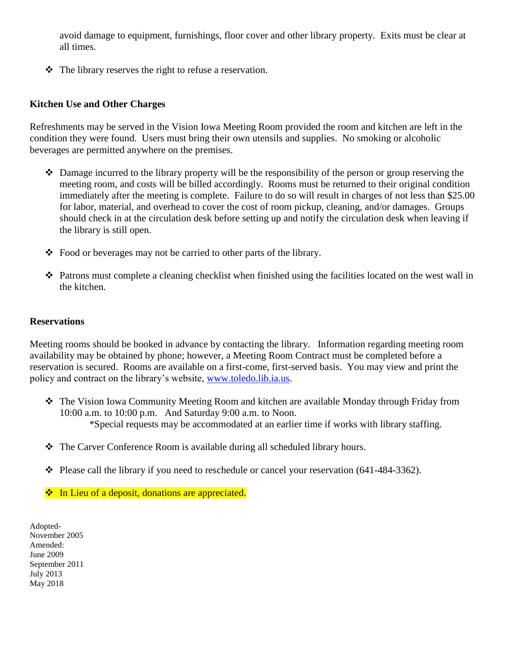avoid damage to equipment, furnishings, floor cover and other library property. Exits must be clear at all times.

The library reserves the right to refuse a reservation.

### **Kitchen Use and Other Charges**

Refreshments may be served in the Vision Iowa Meeting Room provided the room and kitchen are left in the condition they were found. Users must bring their own utensils and supplies. No smoking or alcoholic beverages are permitted anywhere on the premises.

- Damage incurred to the library property will be the responsibility of the person or group reserving the meeting room, and costs will be billed accordingly. Rooms must be returned to their original condition immediately after the meeting is complete. Failure to do so will result in charges of not less than \$25.00 for labor, material, and overhead to cover the cost of room pickup, cleaning, and/or damages. Groups should check in at the circulation desk before setting up and notify the circulation desk when leaving if the library is still open.
- Food or beverages may not be carried to other parts of the library.
- Patrons must complete a cleaning checklist when finished using the facilities located on the west wall in the kitchen.

#### **Reservations**

Meeting rooms should be booked in advance by contacting the library. Information regarding meeting room availability may be obtained by phone; however, a Meeting Room Contract must be completed before a reservation is secured. Rooms are available on a first-come, first-served basis. You may view and print the policy and contract on the library's website, [www.toledo.lib.ia.us.](http://www.toledo.lib.ia.us/)

- The Vision Iowa Community Meeting Room and kitchen are available Monday through Friday from 10:00 a.m. to 10:00 p.m. And Saturday 9:00 a.m. to Noon. \*Special requests may be accommodated at an earlier time if works with library staffing.
- The Carver Conference Room is available during all scheduled library hours.
- Please call the library if you need to reschedule or cancel your reservation (641-484-3362).
- ❖ In Lieu of a deposit, donations are appreciated.

Adopted-November 2005 Amended: June 2009 September 2011 July 2013 May 2018